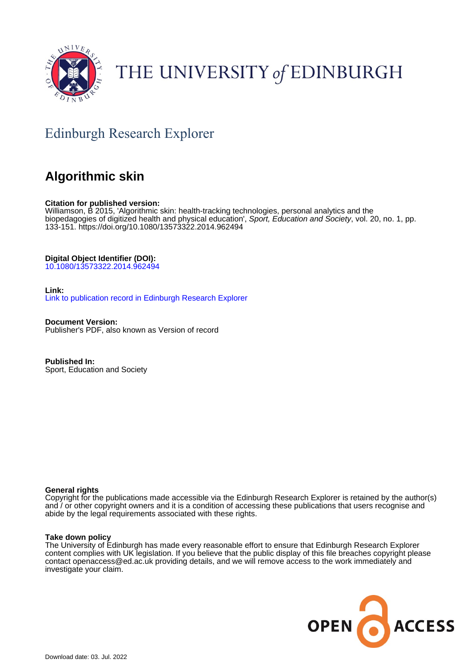

# THE UNIVERSITY of EDINBURGH

### Edinburgh Research Explorer

### **Algorithmic skin**

### **Citation for published version:**

Williamson, B 2015, 'Algorithmic skin: health-tracking technologies, personal analytics and the biopedagogies of digitized health and physical education', Sport, Education and Society, vol. 20, no. 1, pp. 133-151.<https://doi.org/10.1080/13573322.2014.962494>

### **Digital Object Identifier (DOI):**

[10.1080/13573322.2014.962494](https://doi.org/10.1080/13573322.2014.962494)

#### **Link:**

[Link to publication record in Edinburgh Research Explorer](https://www.research.ed.ac.uk/en/publications/c871020a-55be-40fe-a31a-670ec151a6fb)

**Document Version:** Publisher's PDF, also known as Version of record

**Published In:** Sport, Education and Society

#### **General rights**

Copyright for the publications made accessible via the Edinburgh Research Explorer is retained by the author(s) and / or other copyright owners and it is a condition of accessing these publications that users recognise and abide by the legal requirements associated with these rights.

#### **Take down policy**

The University of Edinburgh has made every reasonable effort to ensure that Edinburgh Research Explorer content complies with UK legislation. If you believe that the public display of this file breaches copyright please contact openaccess@ed.ac.uk providing details, and we will remove access to the work immediately and investigate your claim.

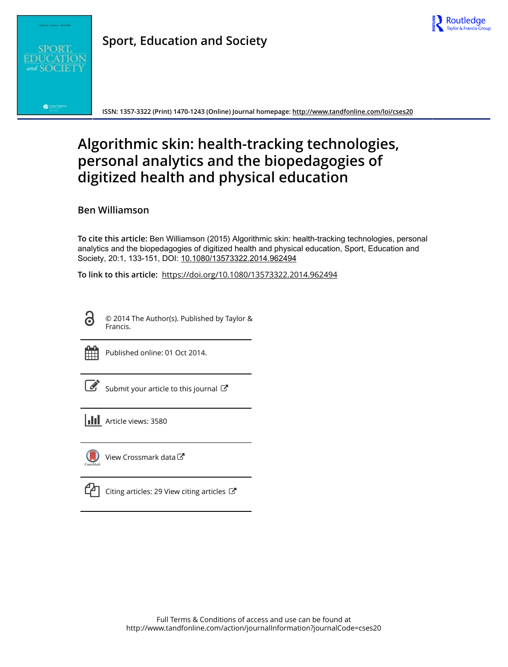

**ISSN: 1357-3322 (Print) 1470-1243 (Online) Journal homepage:<http://www.tandfonline.com/loi/cses20>**

## **Algorithmic skin: health-tracking technologies, personal analytics and the biopedagogies of digitized health and physical education**

**Ben Williamson**

**To cite this article:** Ben Williamson (2015) Algorithmic skin: health-tracking technologies, personal analytics and the biopedagogies of digitized health and physical education, Sport, Education and Society, 20:1, 133-151, DOI: [10.1080/13573322.2014.962494](http://www.tandfonline.com/action/showCitFormats?doi=10.1080/13573322.2014.962494)

**To link to this article:** <https://doi.org/10.1080/13573322.2014.962494>

6

© 2014 The Author(s). Published by Taylor & Francis.



Published online: 01 Oct 2014.

|--|

[Submit your article to this journal](http://www.tandfonline.com/action/authorSubmission?journalCode=cses20&show=instructions)  $\mathbb{Z}$ 

**III** Article views: 3580



[View Crossmark data](http://crossmark.crossref.org/dialog/?doi=10.1080/13573322.2014.962494&domain=pdf&date_stamp=2014-10-01)<sup>C</sup>

 $\mathbb{C}$  [Citing articles: 29 View citing articles](http://www.tandfonline.com/doi/citedby/10.1080/13573322.2014.962494#tabModule)  $\mathbb{C}$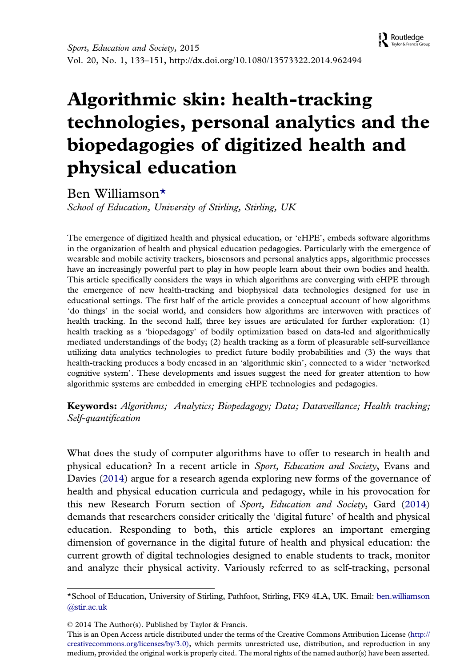

# Algorithmic skin: health-tracking technologies, personal analytics and the biopedagogies of digitized health and physical education

Ben Williamson\* School of Education, University of Stirling, Stirling, UK

The emergence of digitized health and physical education, or 'eHPE', embeds software algorithms in the organization of health and physical education pedagogies. Particularly with the emergence of wearable and mobile activity trackers, biosensors and personal analytics apps, algorithmic processes have an increasingly powerful part to play in how people learn about their own bodies and health. This article specifically considers the ways in which algorithms are converging with eHPE through the emergence of new health-tracking and biophysical data technologies designed for use in educational settings. The first half of the article provides a conceptual account of how algorithms 'do things' in the social world, and considers how algorithms are interwoven with practices of health tracking. In the second half, three key issues are articulated for further exploration: (1) health tracking as a 'biopedagogy' of bodily optimization based on data-led and algorithmically mediated understandings of the body; (2) health tracking as a form of pleasurable self-surveillance utilizing data analytics technologies to predict future bodily probabilities and (3) the ways that health-tracking produces a body encased in an 'algorithmic skin', connected to a wider 'networked cognitive system'. These developments and issues suggest the need for greater attention to how algorithmic systems are embedded in emerging eHPE technologies and pedagogies.

Keywords: Algorithms; Analytics; Biopedagogy; Data; Dataveillance; Health tracking; Self-quantification

What does the study of computer algorithms have to offer to research in health and physical education? In a recent article in Sport, Education and Society, Evans and Davies [\(2014\)](#page-19-0) argue for a research agenda exploring new forms of the governance of health and physical education curricula and pedagogy, while in his provocation for this new Research Forum section of Sport, Education and Society, Gard ([2014\)](#page-19-0) demands that researchers consider critically the 'digital future' of health and physical education. Responding to both, this article explores an important emerging dimension of governance in the digital future of health and physical education: the current growth of digital technologies designed to enable students to track, monitor and analyze their physical activity. Variously referred to as self-tracking, personal

<sup>\*</sup>School of Education, University of Stirling, Pathfoot, Stirling, FK9 4LA, UK. Email: [ben.williamson](mailto:ben.williamson@stir.ac.uk) [@stir.ac.uk](mailto:ben.williamson@stir.ac.uk)

<sup>© 2014</sup> The Author(s). Published by Taylor & Francis.

This is an Open Access article distributed under the terms of the Creative Commons Attribution License ([http://](http://creativecommons.org/licenses/by/3.0) [creativecommons.org/licenses/by/3.0\)](http://creativecommons.org/licenses/by/3.0), which permits unrestricted use, distribution, and reproduction in any medium, provided the original work is properly cited. The moral rights of the named author(s) have been asserted.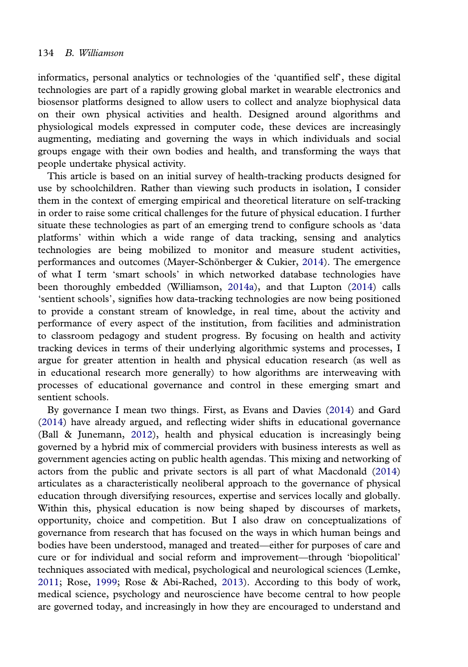informatics, personal analytics or technologies of the 'quantified self', these digital technologies are part of a rapidly growing global market in wearable electronics and biosensor platforms designed to allow users to collect and analyze biophysical data on their own physical activities and health. Designed around algorithms and physiological models expressed in computer code, these devices are increasingly augmenting, mediating and governing the ways in which individuals and social groups engage with their own bodies and health, and transforming the ways that people undertake physical activity.

This article is based on an initial survey of health-tracking products designed for use by schoolchildren. Rather than viewing such products in isolation, I consider them in the context of emerging empirical and theoretical literature on self-tracking in order to raise some critical challenges for the future of physical education. I further situate these technologies as part of an emerging trend to configure schools as 'data platforms' within which a wide range of data tracking, sensing and analytics technologies are being mobilized to monitor and measure student activities, performances and outcomes (Mayer-Schönberger & Cukier, [2014](#page-19-0)). The emergence of what I term 'smart schools' in which networked database technologies have been thoroughly embedded (Williamson, [2014a\)](#page-20-0), and that Lupton [\(2014\)](#page-19-0) calls 'sentient schools', signifies how data-tracking technologies are now being positioned to provide a constant stream of knowledge, in real time, about the activity and performance of every aspect of the institution, from facilities and administration to classroom pedagogy and student progress. By focusing on health and activity tracking devices in terms of their underlying algorithmic systems and processes, I argue for greater attention in health and physical education research (as well as in educational research more generally) to how algorithms are interweaving with processes of educational governance and control in these emerging smart and sentient schools.

By governance I mean two things. First, as Evans and Davies [\(2014\)](#page-19-0) and Gard ([2014](#page-19-0)) have already argued, and reflecting wider shifts in educational governance (Ball & Junemann, [2012\)](#page-18-0), health and physical education is increasingly being governed by a hybrid mix of commercial providers with business interests as well as government agencies acting on public health agendas. This mixing and networking of actors from the public and private sectors is all part of what Macdonald ([2014\)](#page-19-0) articulates as a characteristically neoliberal approach to the governance of physical education through diversifying resources, expertise and services locally and globally. Within this, physical education is now being shaped by discourses of markets, opportunity, choice and competition. But I also draw on conceptualizations of governance from research that has focused on the ways in which human beings and bodies have been understood, managed and treated—either for purposes of care and cure or for individual and social reform and improvement—through 'biopolitical' techniques associated with medical, psychological and neurological sciences (Lemke, [2011;](#page-19-0) Rose, [1999;](#page-20-0) Rose & Abi-Rached, [2013\)](#page-20-0). According to this body of work, medical science, psychology and neuroscience have become central to how people are governed today, and increasingly in how they are encouraged to understand and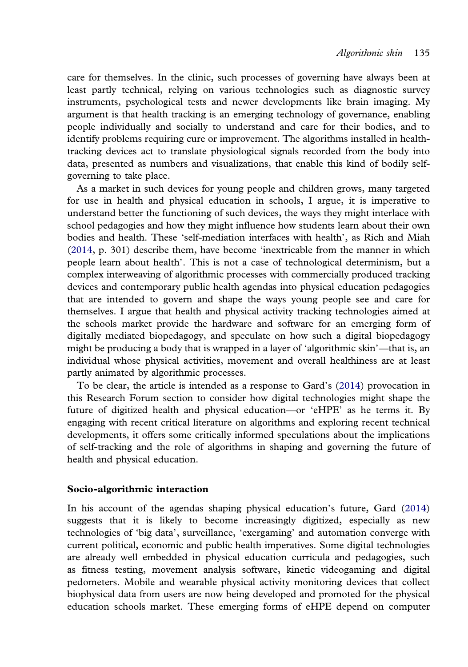care for themselves. In the clinic, such processes of governing have always been at least partly technical, relying on various technologies such as diagnostic survey instruments, psychological tests and newer developments like brain imaging. My argument is that health tracking is an emerging technology of governance, enabling people individually and socially to understand and care for their bodies, and to identify problems requiring cure or improvement. The algorithms installed in healthtracking devices act to translate physiological signals recorded from the body into data, presented as numbers and visualizations, that enable this kind of bodily selfgoverning to take place.

As a market in such devices for young people and children grows, many targeted for use in health and physical education in schools, I argue, it is imperative to understand better the functioning of such devices, the ways they might interlace with school pedagogies and how they might influence how students learn about their own bodies and health. These 'self-mediation interfaces with health', as Rich and Miah ([2014](#page-20-0), p. 301) describe them, have become 'inextricable from the manner in which people learn about health'. This is not a case of technological determinism, but a complex interweaving of algorithmic processes with commercially produced tracking devices and contemporary public health agendas into physical education pedagogies that are intended to govern and shape the ways young people see and care for themselves. I argue that health and physical activity tracking technologies aimed at the schools market provide the hardware and software for an emerging form of digitally mediated biopedagogy, and speculate on how such a digital biopedagogy might be producing a body that is wrapped in a layer of 'algorithmic skin'—that is, an individual whose physical activities, movement and overall healthiness are at least partly animated by algorithmic processes.

To be clear, the article is intended as a response to Gard's [\(2014](#page-19-0)) provocation in this Research Forum section to consider how digital technologies might shape the future of digitized health and physical education—or 'eHPE' as he terms it. By engaging with recent critical literature on algorithms and exploring recent technical developments, it offers some critically informed speculations about the implications of self-tracking and the role of algorithms in shaping and governing the future of health and physical education.

#### Socio-algorithmic interaction

In his account of the agendas shaping physical education's future, Gard ([2014\)](#page-19-0) suggests that it is likely to become increasingly digitized, especially as new technologies of 'big data', surveillance, 'exergaming' and automation converge with current political, economic and public health imperatives. Some digital technologies are already well embedded in physical education curricula and pedagogies, such as fitness testing, movement analysis software, kinetic videogaming and digital pedometers. Mobile and wearable physical activity monitoring devices that collect biophysical data from users are now being developed and promoted for the physical education schools market. These emerging forms of eHPE depend on computer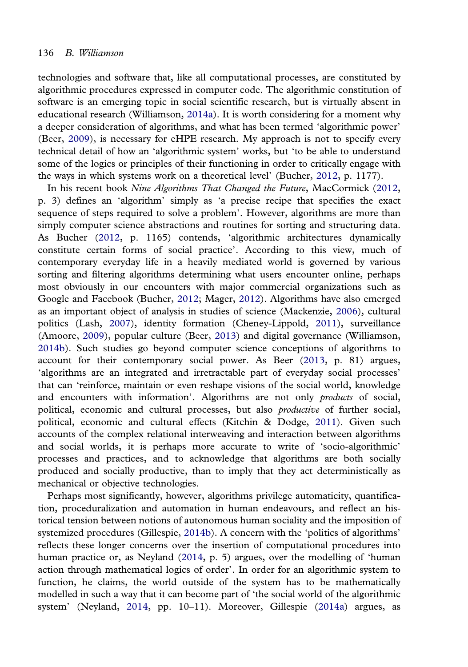technologies and software that, like all computational processes, are constituted by algorithmic procedures expressed in computer code. The algorithmic constitution of software is an emerging topic in social scientific research, but is virtually absent in educational research (Williamson, [2014a\)](#page-20-0). It is worth considering for a moment why a deeper consideration of algorithms, and what has been termed 'algorithmic power' (Beer, [2009](#page-18-0)), is necessary for eHPE research. My approach is not to specify every technical detail of how an 'algorithmic system' works, but 'to be able to understand some of the logics or principles of their functioning in order to critically engage with the ways in which systems work on a theoretical level' (Bucher, [2012](#page-18-0), p. 1177).

In his recent book Nine Algorithms That Changed the Future, MacCormick ([2012](#page-19-0), p. 3) defines an 'algorithm' simply as 'a precise recipe that specifies the exact sequence of steps required to solve a problem'. However, algorithms are more than simply computer science abstractions and routines for sorting and structuring data. As Bucher ([2012](#page-18-0), p. 1165) contends, 'algorithmic architectures dynamically constitute certain forms of social practice'. According to this view, much of contemporary everyday life in a heavily mediated world is governed by various sorting and filtering algorithms determining what users encounter online, perhaps most obviously in our encounters with major commercial organizations such as Google and Facebook (Bucher, [2012](#page-18-0); Mager, [2012\)](#page-19-0). Algorithms have also emerged as an important object of analysis in studies of science (Mackenzie, [2006\)](#page-19-0), cultural politics (Lash, [2007\)](#page-19-0), identity formation (Cheney-Lippold, [2011](#page-18-0)), surveillance (Amoore, [2009\)](#page-18-0), popular culture (Beer, [2013](#page-18-0)) and digital governance (Williamson, [2014b](#page-20-0)). Such studies go beyond computer science conceptions of algorithms to account for their contemporary social power. As Beer ([2013](#page-18-0), p. 81) argues, 'algorithms are an integrated and irretractable part of everyday social processes' that can 'reinforce, maintain or even reshape visions of the social world, knowledge and encounters with information'. Algorithms are not only *products* of social, political, economic and cultural processes, but also *productive* of further social, political, economic and cultural effects (Kitchin & Dodge, [2011\)](#page-19-0). Given such accounts of the complex relational interweaving and interaction between algorithms and social worlds, it is perhaps more accurate to write of 'socio-algorithmic' processes and practices, and to acknowledge that algorithms are both socially produced and socially productive, than to imply that they act deterministically as mechanical or objective technologies.

Perhaps most significantly, however, algorithms privilege automaticity, quantification, proceduralization and automation in human endeavours, and reflect an his‐ torical tension between notions of autonomous human sociality and the imposition of systemized procedures (Gillespie, [2014b](#page-19-0)). A concern with the 'politics of algorithms' reflects these longer concerns over the insertion of computational procedures into human practice or, as Neyland [\(2014,](#page-19-0) p. 5) argues, over the modelling of 'human action through mathematical logics of order'. In order for an algorithmic system to function, he claims, the world outside of the system has to be mathematically modelled in such a way that it can become part of 'the social world of the algorithmic system' (Neyland, [2014](#page-19-0), pp. 10–11). Moreover, Gillespie [\(2014a\)](#page-19-0) argues, as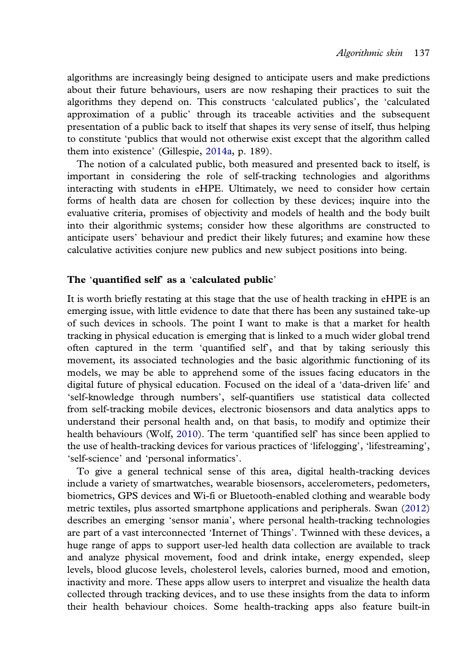algorithms are increasingly being designed to anticipate users and make predictions about their future behaviours, users are now reshaping their practices to suit the algorithms they depend on. This constructs 'calculated publics', the 'calculated approximation of a public' through its traceable activities and the subsequent presentation of a public back to itself that shapes its very sense of itself, thus helping to constitute 'publics that would not otherwise exist except that the algorithm called them into existence' (Gillespie, [2014a](#page-19-0), p. 189).

The notion of a calculated public, both measured and presented back to itself, is important in considering the role of self-tracking technologies and algorithms interacting with students in eHPE. Ultimately, we need to consider how certain forms of health data are chosen for collection by these devices; inquire into the evaluative criteria, promises of objectivity and models of health and the body built into their algorithmic systems; consider how these algorithms are constructed to anticipate users' behaviour and predict their likely futures; and examine how these calculative activities conjure new publics and new subject positions into being.

#### The 'quantified self' as a 'calculated public'

It is worth briefly restating at this stage that the use of health tracking in eHPE is an emerging issue, with little evidence to date that there has been any sustained take-up of such devices in schools. The point I want to make is that a market for health tracking in physical education is emerging that is linked to a much wider global trend often captured in the term 'quantified self', and that by taking seriously this movement, its associated technologies and the basic algorithmic functioning of its models, we may be able to apprehend some of the issues facing educators in the digital future of physical education. Focused on the ideal of a 'data-driven life' and 'self-knowledge through numbers', self-quantifiers use statistical data collected from self-tracking mobile devices, electronic biosensors and data analytics apps to understand their personal health and, on that basis, to modify and optimize their health behaviours (Wolf, [2010\)](#page-20-0). The term 'quantified self' has since been applied to the use of health-tracking devices for various practices of 'lifelogging', 'lifestreaming', 'self-science' and 'personal informatics'.

To give a general technical sense of this area, digital health-tracking devices include a variety of smartwatches, wearable biosensors, accelerometers, pedometers, biometrics, GPS devices and Wi-fi or Bluetooth-enabled clothing and wearable body metric textiles, plus assorted smartphone applications and peripherals. Swan ([2012\)](#page-20-0) describes an emerging 'sensor mania', where personal health-tracking technologies are part of a vast interconnected 'Internet of Things'. Twinned with these devices, a huge range of apps to support user-led health data collection are available to track and analyze physical movement, food and drink intake, energy expended, sleep levels, blood glucose levels, cholesterol levels, calories burned, mood and emotion, inactivity and more. These apps allow users to interpret and visualize the health data collected through tracking devices, and to use these insights from the data to inform their health behaviour choices. Some health-tracking apps also feature built-in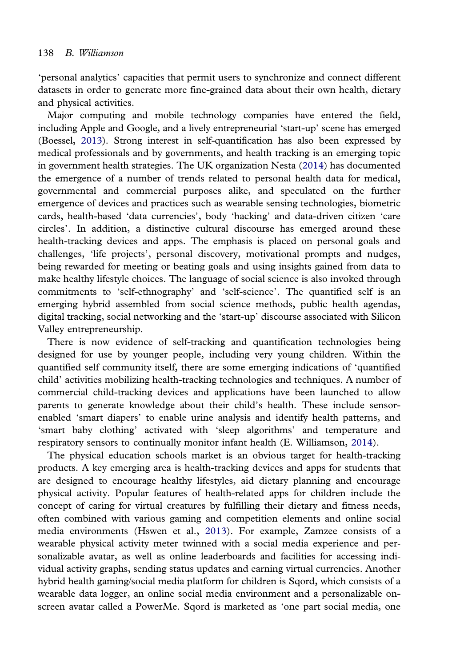'personal analytics' capacities that permit users to synchronize and connect different datasets in order to generate more fine-grained data about their own health, dietary and physical activities.

Major computing and mobile technology companies have entered the field, including Apple and Google, and a lively entrepreneurial 'start-up' scene has emerged (Boessel, [2013\)](#page-18-0). Strong interest in self-quantification has also been expressed by medical professionals and by governments, and health tracking is an emerging topic in government health strategies. The UK organization Nesta ([2014](#page-19-0)) has documented the emergence of a number of trends related to personal health data for medical, governmental and commercial purposes alike, and speculated on the further emergence of devices and practices such as wearable sensing technologies, biometric cards, health-based 'data currencies', body 'hacking' and data-driven citizen 'care circles'. In addition, a distinctive cultural discourse has emerged around these health-tracking devices and apps. The emphasis is placed on personal goals and challenges, 'life projects', personal discovery, motivational prompts and nudges, being rewarded for meeting or beating goals and using insights gained from data to make healthy lifestyle choices. The language of social science is also invoked through commitments to 'self-ethnography' and 'self-science'. The quantified self is an emerging hybrid assembled from social science methods, public health agendas, digital tracking, social networking and the 'start-up' discourse associated with Silicon Valley entrepreneurship.

There is now evidence of self-tracking and quantification technologies being designed for use by younger people, including very young children. Within the quantified self community itself, there are some emerging indications of 'quantified child' activities mobilizing health-tracking technologies and techniques. A number of commercial child-tracking devices and applications have been launched to allow parents to generate knowledge about their child's health. These include sensorenabled 'smart diapers' to enable urine analysis and identify health patterns, and 'smart baby clothing' activated with 'sleep algorithms' and temperature and respiratory sensors to continually monitor infant health (E. Williamson, [2014\)](#page-20-0).

The physical education schools market is an obvious target for health-tracking products. A key emerging area is health-tracking devices and apps for students that are designed to encourage healthy lifestyles, aid dietary planning and encourage physical activity. Popular features of health-related apps for children include the concept of caring for virtual creatures by fulfilling their dietary and fitness needs, often combined with various gaming and competition elements and online social media environments (Hswen et al., [2013\)](#page-19-0). For example, Zamzee consists of a wearable physical activity meter twinned with a social media experience and per‐ sonalizable avatar, as well as online leaderboards and facilities for accessing individual activity graphs, sending status updates and earning virtual currencies. Another hybrid health gaming/social media platform for children is Sqord, which consists of a wearable data logger, an online social media environment and a personalizable onscreen avatar called a PowerMe. Sqord is marketed as 'one part social media, one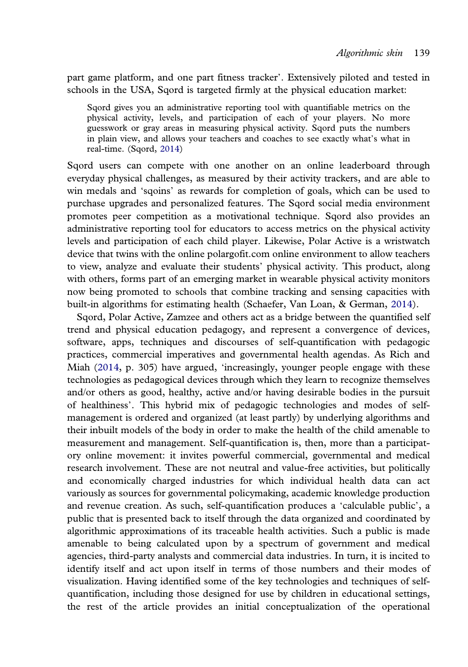part game platform, and one part fitness tracker'. Extensively piloted and tested in schools in the USA, Sqord is targeted firmly at the physical education market:

Sqord gives you an administrative reporting tool with quantifiable metrics on the physical activity, levels, and participation of each of your players. No more guesswork or gray areas in measuring physical activity. Sqord puts the numbers in plain view, and allows your teachers and coaches to see exactly what's what in real-time. (Sqord, [2014](#page-20-0))

Sqord users can compete with one another on an online leaderboard through everyday physical challenges, as measured by their activity trackers, and are able to win medals and 'sqoins' as rewards for completion of goals, which can be used to purchase upgrades and personalized features. The Sqord social media environment promotes peer competition as a motivational technique. Sqord also provides an administrative reporting tool for educators to access metrics on the physical activity levels and participation of each child player. Likewise, Polar Active is a wristwatch device that twins with the online polargofit.com online environment to allow teachers to view, analyze and evaluate their students' physical activity. This product, along with others, forms part of an emerging market in wearable physical activity monitors now being promoted to schools that combine tracking and sensing capacities with built-in algorithms for estimating health (Schaefer, Van Loan, & German, [2014\)](#page-20-0).

Sqord, Polar Active, Zamzee and others act as a bridge between the quantified self trend and physical education pedagogy, and represent a convergence of devices, software, apps, techniques and discourses of self-quantification with pedagogic practices, commercial imperatives and governmental health agendas. As Rich and Miah ([2014](#page-20-0), p. 305) have argued, 'increasingly, younger people engage with these technologies as pedagogical devices through which they learn to recognize themselves and/or others as good, healthy, active and/or having desirable bodies in the pursuit of healthiness'. This hybrid mix of pedagogic technologies and modes of selfmanagement is ordered and organized (at least partly) by underlying algorithms and their inbuilt models of the body in order to make the health of the child amenable to measurement and management. Self-quantification is, then, more than a participatory online movement: it invites powerful commercial, governmental and medical research involvement. These are not neutral and value-free activities, but politically and economically charged industries for which individual health data can act variously as sources for governmental policymaking, academic knowledge production and revenue creation. As such, self-quantification produces a 'calculable public', a public that is presented back to itself through the data organized and coordinated by algorithmic approximations of its traceable health activities. Such a public is made amenable to being calculated upon by a spectrum of government and medical agencies, third-party analysts and commercial data industries. In turn, it is incited to identify itself and act upon itself in terms of those numbers and their modes of visualization. Having identified some of the key technologies and techniques of selfquantification, including those designed for use by children in educational settings, the rest of the article provides an initial conceptualization of the operational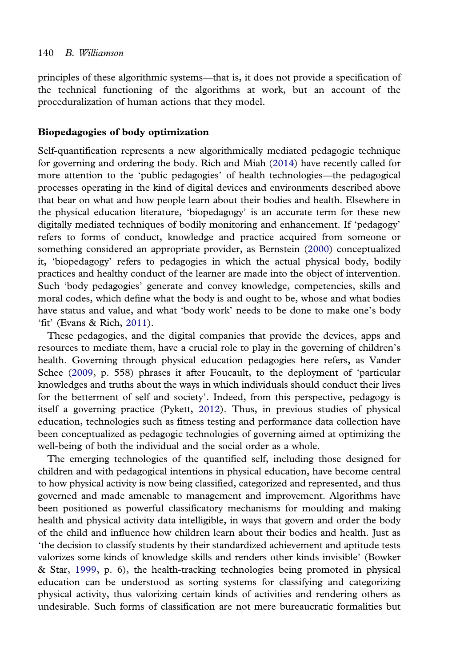#### 140 B. Williamson

principles of these algorithmic systems—that is, it does not provide a specification of the technical functioning of the algorithms at work, but an account of the proceduralization of human actions that they model.

#### Biopedagogies of body optimization

Self-quantification represents a new algorithmically mediated pedagogic technique for governing and ordering the body. Rich and Miah [\(2014](#page-20-0)) have recently called for more attention to the 'public pedagogies' of health technologies—the pedagogical processes operating in the kind of digital devices and environments described above that bear on what and how people learn about their bodies and health. Elsewhere in the physical education literature, 'biopedagogy' is an accurate term for these new digitally mediated techniques of bodily monitoring and enhancement. If 'pedagogy' refers to forms of conduct, knowledge and practice acquired from someone or something considered an appropriate provider, as Bernstein [\(2000](#page-18-0)) conceptualized it, 'biopedagogy' refers to pedagogies in which the actual physical body, bodily practices and healthy conduct of the learner are made into the object of intervention. Such 'body pedagogies' generate and convey knowledge, competencies, skills and moral codes, which define what the body is and ought to be, whose and what bodies have status and value, and what 'body work' needs to be done to make one's body 'fit' (Evans & Rich, [2011](#page-19-0)).

These pedagogies, and the digital companies that provide the devices, apps and resources to mediate them, have a crucial role to play in the governing of children's health. Governing through physical education pedagogies here refers, as Vander Schee ([2009](#page-20-0), p. 558) phrases it after Foucault, to the deployment of 'particular knowledges and truths about the ways in which individuals should conduct their lives for the betterment of self and society'. Indeed, from this perspective, pedagogy is itself a governing practice (Pykett, [2012\)](#page-19-0). Thus, in previous studies of physical education, technologies such as fitness testing and performance data collection have been conceptualized as pedagogic technologies of governing aimed at optimizing the well-being of both the individual and the social order as a whole.

The emerging technologies of the quantified self, including those designed for children and with pedagogical intentions in physical education, have become central to how physical activity is now being classified, categorized and represented, and thus governed and made amenable to management and improvement. Algorithms have been positioned as powerful classificatory mechanisms for moulding and making health and physical activity data intelligible, in ways that govern and order the body of the child and influence how children learn about their bodies and health. Just as 'the decision to classify students by their standardized achievement and aptitude tests valorizes some kinds of knowledge skills and renders other kinds invisible' (Bowker & Star, [1999,](#page-18-0) p. 6), the health-tracking technologies being promoted in physical education can be understood as sorting systems for classifying and categorizing physical activity, thus valorizing certain kinds of activities and rendering others as undesirable. Such forms of classification are not mere bureaucratic formalities but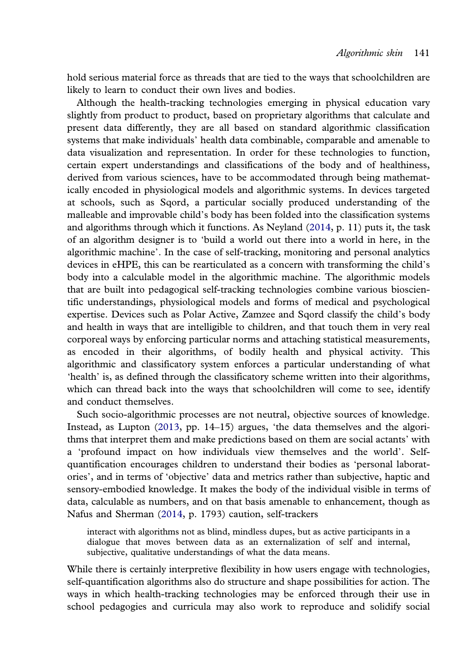hold serious material force as threads that are tied to the ways that schoolchildren are likely to learn to conduct their own lives and bodies.

Although the health-tracking technologies emerging in physical education vary slightly from product to product, based on proprietary algorithms that calculate and present data differently, they are all based on standard algorithmic classification systems that make individuals' health data combinable, comparable and amenable to data visualization and representation. In order for these technologies to function, certain expert understandings and classifications of the body and of healthiness, derived from various sciences, have to be accommodated through being mathematically encoded in physiological models and algorithmic systems. In devices targeted at schools, such as Sqord, a particular socially produced understanding of the malleable and improvable child's body has been folded into the classification systems and algorithms through which it functions. As Neyland  $(2014, p. 11)$  $(2014, p. 11)$  puts it, the task of an algorithm designer is to 'build a world out there into a world in here, in the algorithmic machine'. In the case of self-tracking, monitoring and personal analytics devices in eHPE, this can be rearticulated as a concern with transforming the child's body into a calculable model in the algorithmic machine. The algorithmic models that are built into pedagogical self-tracking technologies combine various bioscientific understandings, physiological models and forms of medical and psychological expertise. Devices such as Polar Active, Zamzee and Sqord classify the child's body and health in ways that are intelligible to children, and that touch them in very real corporeal ways by enforcing particular norms and attaching statistical measurements, as encoded in their algorithms, of bodily health and physical activity. This algorithmic and classificatory system enforces a particular understanding of what 'health' is, as defined through the classificatory scheme written into their algorithms, which can thread back into the ways that schoolchildren will come to see, identify and conduct themselves.

Such socio-algorithmic processes are not neutral, objective sources of knowledge. Instead, as Lupton  $(2013, pp. 14–15)$  $(2013, pp. 14–15)$  argues, 'the data themselves and the algorithms that interpret them and make predictions based on them are social actants' with a 'profound impact on how individuals view themselves and the world'. Selfquantification encourages children to understand their bodies as 'personal laboratories', and in terms of 'objective' data and metrics rather than subjective, haptic and sensory-embodied knowledge. It makes the body of the individual visible in terms of data, calculable as numbers, and on that basis amenable to enhancement, though as Nafus and Sherman ([2014](#page-19-0), p. 1793) caution, self-trackers

interact with algorithms not as blind, mindless dupes, but as active participants in a dialogue that moves between data as an externalization of self and internal, subjective, qualitative understandings of what the data means.

While there is certainly interpretive flexibility in how users engage with technologies, self-quantification algorithms also do structure and shape possibilities for action. The ways in which health-tracking technologies may be enforced through their use in school pedagogies and curricula may also work to reproduce and solidify social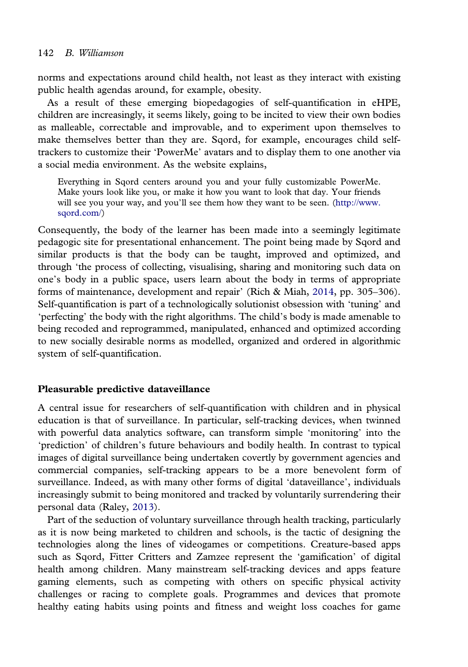#### 142 B. Williamson

norms and expectations around child health, not least as they interact with existing public health agendas around, for example, obesity.

As a result of these emerging biopedagogies of self-quantification in eHPE, children are increasingly, it seems likely, going to be incited to view their own bodies as malleable, correctable and improvable, and to experiment upon themselves to make themselves better than they are. Sqord, for example, encourages child selftrackers to customize their 'PowerMe' avatars and to display them to one another via a social media environment. As the website explains,

Everything in Sqord centers around you and your fully customizable PowerMe. Make yours look like you, or make it how you want to look that day. Your friends will see you your way, and you'll see them how they want to be seen. ([http://www.](http://www.sqord.com/) [sqord.com/\)](http://www.sqord.com/)

Consequently, the body of the learner has been made into a seemingly legitimate pedagogic site for presentational enhancement. The point being made by Sqord and similar products is that the body can be taught, improved and optimized, and through 'the process of collecting, visualising, sharing and monitoring such data on one's body in a public space, users learn about the body in terms of appropriate forms of maintenance, development and repair' (Rich & Miah, [2014](#page-20-0), pp. 305–306). Self-quantification is part of a technologically solutionist obsession with 'tuning' and 'perfecting' the body with the right algorithms. The child's body is made amenable to being recoded and reprogrammed, manipulated, enhanced and optimized according to new socially desirable norms as modelled, organized and ordered in algorithmic system of self-quantification.

#### Pleasurable predictive dataveillance

A central issue for researchers of self-quantification with children and in physical education is that of surveillance. In particular, self-tracking devices, when twinned with powerful data analytics software, can transform simple 'monitoring' into the 'prediction' of children's future behaviours and bodily health. In contrast to typical images of digital surveillance being undertaken covertly by government agencies and commercial companies, self-tracking appears to be a more benevolent form of surveillance. Indeed, as with many other forms of digital 'dataveillance', individuals increasingly submit to being monitored and tracked by voluntarily surrendering their personal data (Raley, [2013](#page-20-0)).

Part of the seduction of voluntary surveillance through health tracking, particularly as it is now being marketed to children and schools, is the tactic of designing the technologies along the lines of videogames or competitions. Creature-based apps such as Sqord, Fitter Critters and Zamzee represent the 'gamification' of digital health among children. Many mainstream self-tracking devices and apps feature gaming elements, such as competing with others on specific physical activity challenges or racing to complete goals. Programmes and devices that promote healthy eating habits using points and fitness and weight loss coaches for game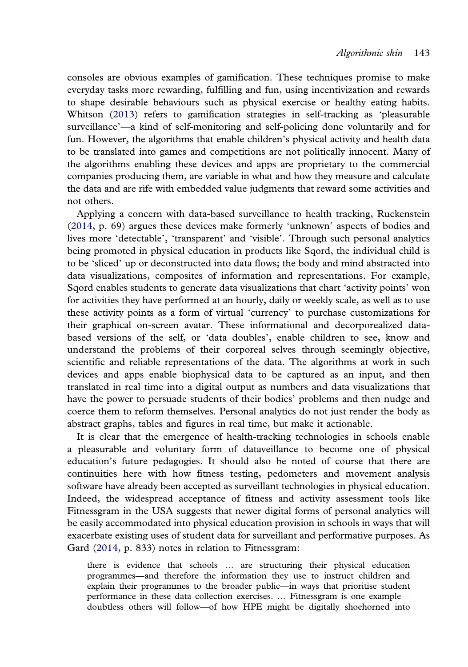consoles are obvious examples of gamification. These techniques promise to make everyday tasks more rewarding, fulfilling and fun, using incentivization and rewards to shape desirable behaviours such as physical exercise or healthy eating habits. Whitson [\(2013\)](#page-20-0) refers to gamification strategies in self-tracking as 'pleasurable surveillance'—a kind of self-monitoring and self-policing done voluntarily and for fun. However, the algorithms that enable children's physical activity and health data to be translated into games and competitions are not politically innocent. Many of the algorithms enabling these devices and apps are proprietary to the commercial companies producing them, are variable in what and how they measure and calculate the data and are rife with embedded value judgments that reward some activities and not others.

Applying a concern with data-based surveillance to health tracking, Ruckenstein ([2014](#page-20-0), p. 69) argues these devices make formerly 'unknown' aspects of bodies and lives more 'detectable', 'transparent' and 'visible'. Through such personal analytics being promoted in physical education in products like Sqord, the individual child is to be 'sliced' up or deconstructed into data flows; the body and mind abstracted into data visualizations, composites of information and representations. For example, Sqord enables students to generate data visualizations that chart 'activity points' won for activities they have performed at an hourly, daily or weekly scale, as well as to use these activity points as a form of virtual 'currency' to purchase customizations for their graphical on-screen avatar. These informational and decorporealized databased versions of the self, or 'data doubles', enable children to see, know and understand the problems of their corporeal selves through seemingly objective, scientific and reliable representations of the data. The algorithms at work in such devices and apps enable biophysical data to be captured as an input, and then translated in real time into a digital output as numbers and data visualizations that have the power to persuade students of their bodies' problems and then nudge and coerce them to reform themselves. Personal analytics do not just render the body as abstract graphs, tables and figures in real time, but make it actionable.

It is clear that the emergence of health-tracking technologies in schools enable a pleasurable and voluntary form of dataveillance to become one of physical education's future pedagogies. It should also be noted of course that there are continuities here with how fitness testing, pedometers and movement analysis software have already been accepted as surveillant technologies in physical education. Indeed, the widespread acceptance of fitness and activity assessment tools like Fitnessgram in the USA suggests that newer digital forms of personal analytics will be easily accommodated into physical education provision in schools in ways that will exacerbate existing uses of student data for surveillant and performative purposes. As Gard ([2014](#page-19-0), p. 833) notes in relation to Fitnessgram:

there is evidence that schools … are structuring their physical education programmes—and therefore the information they use to instruct children and explain their programmes to the broader public—in ways that prioritise student performance in these data collection exercises. … Fitnessgram is one example doubtless others will follow—of how HPE might be digitally shoehorned into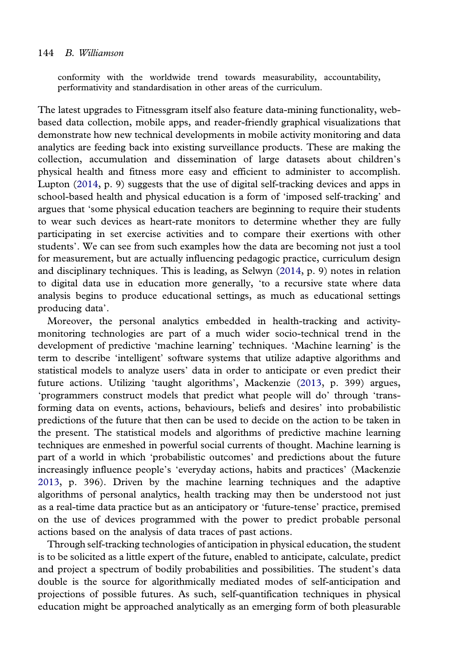#### 144 B. Williamson

conformity with the worldwide trend towards measurability, accountability, performativity and standardisation in other areas of the curriculum.

The latest upgrades to Fitnessgram itself also feature data-mining functionality, webbased data collection, mobile apps, and reader-friendly graphical visualizations that demonstrate how new technical developments in mobile activity monitoring and data analytics are feeding back into existing surveillance products. These are making the collection, accumulation and dissemination of large datasets about children's physical health and fitness more easy and efficient to administer to accomplish. Lupton ([2014,](#page-19-0) p. 9) suggests that the use of digital self-tracking devices and apps in school-based health and physical education is a form of 'imposed self-tracking' and argues that 'some physical education teachers are beginning to require their students to wear such devices as heart-rate monitors to determine whether they are fully participating in set exercise activities and to compare their exertions with other students'. We can see from such examples how the data are becoming not just a tool for measurement, but are actually influencing pedagogic practice, curriculum design and disciplinary techniques. This is leading, as Selwyn ([2014](#page-20-0), p. 9) notes in relation to digital data use in education more generally, 'to a recursive state where data analysis begins to produce educational settings, as much as educational settings producing data'.

Moreover, the personal analytics embedded in health-tracking and activitymonitoring technologies are part of a much wider socio-technical trend in the development of predictive 'machine learning' techniques. 'Machine learning' is the term to describe 'intelligent' software systems that utilize adaptive algorithms and statistical models to analyze users' data in order to anticipate or even predict their future actions. Utilizing 'taught algorithms', Mackenzie [\(2013](#page-19-0), p. 399) argues, 'programmers construct models that predict what people will do' through 'transforming data on events, actions, behaviours, beliefs and desires' into probabilistic predictions of the future that then can be used to decide on the action to be taken in the present. The statistical models and algorithms of predictive machine learning techniques are enmeshed in powerful social currents of thought. Machine learning is part of a world in which 'probabilistic outcomes' and predictions about the future increasingly influence people's 'everyday actions, habits and practices' (Mackenzie [2013,](#page-19-0) p. 396). Driven by the machine learning techniques and the adaptive algorithms of personal analytics, health tracking may then be understood not just as a real-time data practice but as an anticipatory or 'future-tense' practice, premised on the use of devices programmed with the power to predict probable personal actions based on the analysis of data traces of past actions.

Through self-tracking technologies of anticipation in physical education, the student is to be solicited as a little expert of the future, enabled to anticipate, calculate, predict and project a spectrum of bodily probabilities and possibilities. The student's data double is the source for algorithmically mediated modes of self-anticipation and projections of possible futures. As such, self-quantification techniques in physical education might be approached analytically as an emerging form of both pleasurable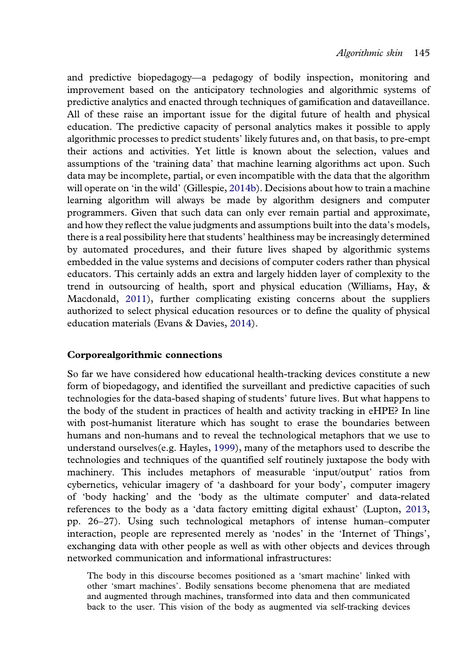and predictive biopedagogy—a pedagogy of bodily inspection, monitoring and improvement based on the anticipatory technologies and algorithmic systems of predictive analytics and enacted through techniques of gamification and dataveillance. All of these raise an important issue for the digital future of health and physical education. The predictive capacity of personal analytics makes it possible to apply algorithmic processes to predict students' likely futures and, on that basis, to pre-empt their actions and activities. Yet little is known about the selection, values and assumptions of the 'training data' that machine learning algorithms act upon. Such data may be incomplete, partial, or even incompatible with the data that the algorithm will operate on 'in the wild' (Gillespie, [2014b](#page-19-0)). Decisions about how to train a machine learning algorithm will always be made by algorithm designers and computer programmers. Given that such data can only ever remain partial and approximate, and how they reflect the value judgments and assumptions built into the data's models, there is a real possibility here that students' healthiness may be increasingly determined by automated procedures, and their future lives shaped by algorithmic systems embedded in the value systems and decisions of computer coders rather than physical educators. This certainly adds an extra and largely hidden layer of complexity to the trend in outsourcing of health, sport and physical education (Williams, Hay, & Macdonald, [2011\)](#page-20-0), further complicating existing concerns about the suppliers authorized to select physical education resources or to define the quality of physical education materials (Evans & Davies, [2014](#page-19-0)).

#### Corporealgorithmic connections

So far we have considered how educational health-tracking devices constitute a new form of biopedagogy, and identified the surveillant and predictive capacities of such technologies for the data-based shaping of students' future lives. But what happens to the body of the student in practices of health and activity tracking in eHPE? In line with post-humanist literature which has sought to erase the boundaries between humans and non-humans and to reveal the technological metaphors that we use to understand ourselves(e.g. Hayles, [1999\)](#page-19-0), many of the metaphors used to describe the technologies and techniques of the quantified self routinely juxtapose the body with machinery. This includes metaphors of measurable 'input/output' ratios from cybernetics, vehicular imagery of 'a dashboard for your body', computer imagery of 'body hacking' and the 'body as the ultimate computer' and data-related references to the body as a 'data factory emitting digital exhaust' (Lupton, [2013](#page-19-0), pp. 26–27). Using such technological metaphors of intense human–computer interaction, people are represented merely as 'nodes' in the 'Internet of Things', exchanging data with other people as well as with other objects and devices through networked communication and informational infrastructures:

The body in this discourse becomes positioned as a 'smart machine' linked with other 'smart machines'. Bodily sensations become phenomena that are mediated and augmented through machines, transformed into data and then communicated back to the user. This vision of the body as augmented via self-tracking devices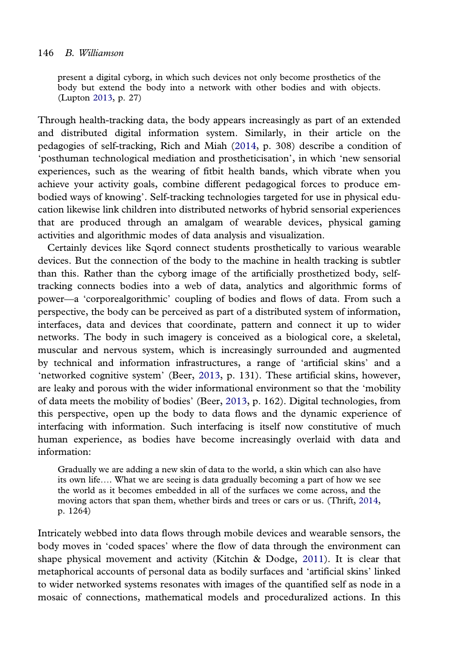present a digital cyborg, in which such devices not only become prosthetics of the body but extend the body into a network with other bodies and with objects. (Lupton [2013,](#page-19-0) p. 27)

Through health-tracking data, the body appears increasingly as part of an extended and distributed digital information system. Similarly, in their article on the pedagogies of self-tracking, Rich and Miah ([2014](#page-20-0), p. 308) describe a condition of 'posthuman technological mediation and prostheticisation', in which 'new sensorial experiences, such as the wearing of fitbit health bands, which vibrate when you achieve your activity goals, combine different pedagogical forces to produce em‐ bodied ways of knowing'. Self-tracking technologies targeted for use in physical edu‐ cation likewise link children into distributed networks of hybrid sensorial experiences that are produced through an amalgam of wearable devices, physical gaming activities and algorithmic modes of data analysis and visualization.

Certainly devices like Sqord connect students prosthetically to various wearable devices. But the connection of the body to the machine in health tracking is subtler than this. Rather than the cyborg image of the artificially prosthetized body, selftracking connects bodies into a web of data, analytics and algorithmic forms of power—a 'corporealgorithmic' coupling of bodies and flows of data. From such a perspective, the body can be perceived as part of a distributed system of information, interfaces, data and devices that coordinate, pattern and connect it up to wider networks. The body in such imagery is conceived as a biological core, a skeletal, muscular and nervous system, which is increasingly surrounded and augmented by technical and information infrastructures, a range of 'artificial skins' and a 'networked cognitive system' (Beer, [2013](#page-18-0), p. 131). These artificial skins, however, are leaky and porous with the wider informational environment so that the 'mobility of data meets the mobility of bodies' (Beer, [2013](#page-18-0), p. 162). Digital technologies, from this perspective, open up the body to data flows and the dynamic experience of interfacing with information. Such interfacing is itself now constitutive of much human experience, as bodies have become increasingly overlaid with data and information:

Gradually we are adding a new skin of data to the world, a skin which can also have its own life…. What we are seeing is data gradually becoming a part of how we see the world as it becomes embedded in all of the surfaces we come across, and the moving actors that span them, whether birds and trees or cars or us. (Thrift, [2014,](#page-20-0) p. 1264)

Intricately webbed into data flows through mobile devices and wearable sensors, the body moves in 'coded spaces' where the flow of data through the environment can shape physical movement and activity (Kitchin  $\&$  Dodge, [2011\)](#page-19-0). It is clear that metaphorical accounts of personal data as bodily surfaces and 'artificial skins' linked to wider networked systems resonates with images of the quantified self as node in a mosaic of connections, mathematical models and proceduralized actions. In this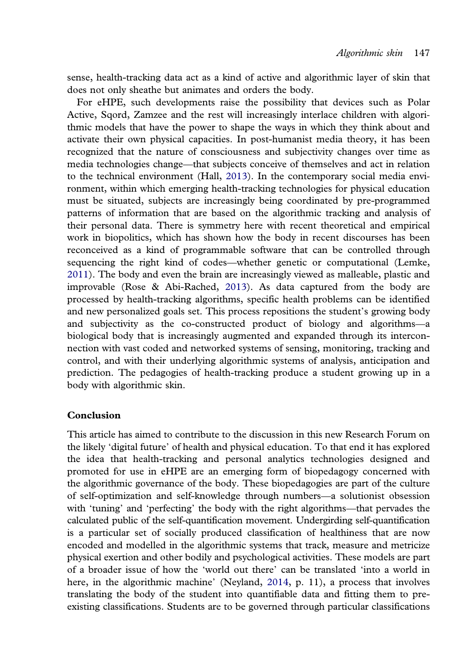sense, health-tracking data act as a kind of active and algorithmic layer of skin that does not only sheathe but animates and orders the body.

For eHPE, such developments raise the possibility that devices such as Polar Active, Sqord, Zamzee and the rest will increasingly interlace children with algori‐ thmic models that have the power to shape the ways in which they think about and activate their own physical capacities. In post-humanist media theory, it has been recognized that the nature of consciousness and subjectivity changes over time as media technologies change—that subjects conceive of themselves and act in relation to the technical environment (Hall, [2013\)](#page-19-0). In the contemporary social media environment, within which emerging health-tracking technologies for physical education must be situated, subjects are increasingly being coordinated by pre-programmed patterns of information that are based on the algorithmic tracking and analysis of their personal data. There is symmetry here with recent theoretical and empirical work in biopolitics, which has shown how the body in recent discourses has been reconceived as a kind of programmable software that can be controlled through sequencing the right kind of codes—whether genetic or computational (Lemke, [2011](#page-19-0)). The body and even the brain are increasingly viewed as malleable, plastic and improvable (Rose & Abi-Rached, [2013](#page-20-0)). As data captured from the body are processed by health-tracking algorithms, specific health problems can be identified and new personalized goals set. This process repositions the student's growing body and subjectivity as the co-constructed product of biology and algorithms—a biological body that is increasingly augmented and expanded through its interconnection with vast coded and networked systems of sensing, monitoring, tracking and control, and with their underlying algorithmic systems of analysis, anticipation and prediction. The pedagogies of health-tracking produce a student growing up in a body with algorithmic skin.

#### Conclusion

This article has aimed to contribute to the discussion in this new Research Forum on the likely 'digital future' of health and physical education. To that end it has explored the idea that health-tracking and personal analytics technologies designed and promoted for use in eHPE are an emerging form of biopedagogy concerned with the algorithmic governance of the body. These biopedagogies are part of the culture of self-optimization and self-knowledge through numbers—a solutionist obsession with 'tuning' and 'perfecting' the body with the right algorithms—that pervades the calculated public of the self-quantification movement. Undergirding self-quantification is a particular set of socially produced classification of healthiness that are now encoded and modelled in the algorithmic systems that track, measure and metricize physical exertion and other bodily and psychological activities. These models are part of a broader issue of how the 'world out there' can be translated 'into a world in here, in the algorithmic machine' (Neyland, [2014](#page-19-0), p. 11), a process that involves translating the body of the student into quantifiable data and fitting them to preexisting classifications. Students are to be governed through particular classifications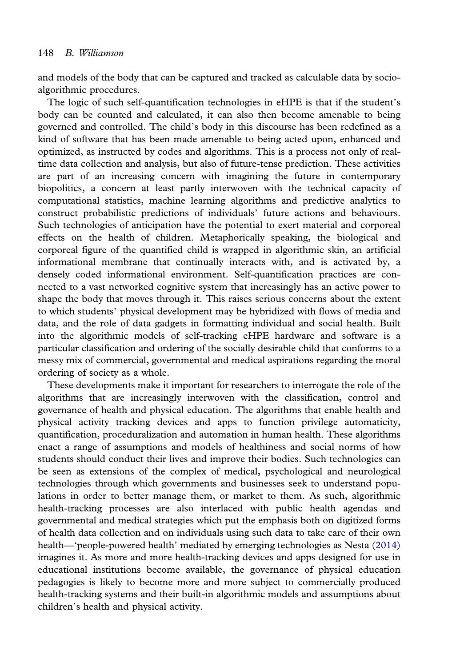and models of the body that can be captured and tracked as calculable data by socioalgorithmic procedures.

The logic of such self-quantification technologies in eHPE is that if the student's body can be counted and calculated, it can also then become amenable to being governed and controlled. The child's body in this discourse has been redefined as a kind of software that has been made amenable to being acted upon, enhanced and optimized, as instructed by codes and algorithms. This is a process not only of realtime data collection and analysis, but also of future-tense prediction. These activities are part of an increasing concern with imagining the future in contemporary biopolitics, a concern at least partly interwoven with the technical capacity of computational statistics, machine learning algorithms and predictive analytics to construct probabilistic predictions of individuals' future actions and behaviours. Such technologies of anticipation have the potential to exert material and corporeal effects on the health of children. Metaphorically speaking, the biological and corporeal figure of the quantified child is wrapped in algorithmic skin, an artificial informational membrane that continually interacts with, and is activated by, a densely coded informational environment. Self-quantification practices are connected to a vast networked cognitive system that increasingly has an active power to shape the body that moves through it. This raises serious concerns about the extent to which students' physical development may be hybridized with flows of media and data, and the role of data gadgets in formatting individual and social health. Built into the algorithmic models of self-tracking eHPE hardware and software is a particular classification and ordering of the socially desirable child that conforms to a messy mix of commercial, governmental and medical aspirations regarding the moral ordering of society as a whole.

These developments make it important for researchers to interrogate the role of the algorithms that are increasingly interwoven with the classification, control and governance of health and physical education. The algorithms that enable health and physical activity tracking devices and apps to function privilege automaticity, quantification, proceduralization and automation in human health. These algorithms enact a range of assumptions and models of healthiness and social norms of how students should conduct their lives and improve their bodies. Such technologies can be seen as extensions of the complex of medical, psychological and neurological technologies through which governments and businesses seek to understand populations in order to better manage them, or market to them. As such, algorithmic health-tracking processes are also interlaced with public health agendas and governmental and medical strategies which put the emphasis both on digitized forms of health data collection and on individuals using such data to take care of their own health—'people-powered health' mediated by emerging technologies as Nesta ([2014\)](#page-19-0) imagines it. As more and more health-tracking devices and apps designed for use in educational institutions become available, the governance of physical education pedagogies is likely to become more and more subject to commercially produced health-tracking systems and their built-in algorithmic models and assumptions about children's health and physical activity.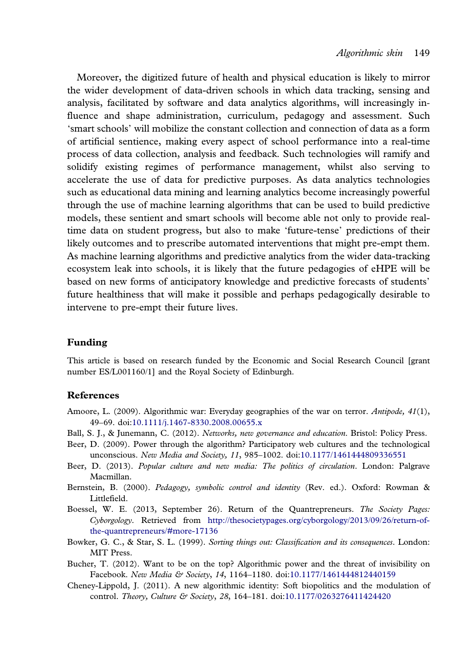<span id="page-18-0"></span>Moreover, the digitized future of health and physical education is likely to mirror the wider development of data-driven schools in which data tracking, sensing and analysis, facilitated by software and data analytics algorithms, will increasingly in‐ fluence and shape administration, curriculum, pedagogy and assessment. Such 'smart schools' will mobilize the constant collection and connection of data as a form of artificial sentience, making every aspect of school performance into a real-time process of data collection, analysis and feedback. Such technologies will ramify and solidify existing regimes of performance management, whilst also serving to accelerate the use of data for predictive purposes. As data analytics technologies such as educational data mining and learning analytics become increasingly powerful through the use of machine learning algorithms that can be used to build predictive models, these sentient and smart schools will become able not only to provide realtime data on student progress, but also to make 'future-tense' predictions of their likely outcomes and to prescribe automated interventions that might pre-empt them. As machine learning algorithms and predictive analytics from the wider data-tracking ecosystem leak into schools, it is likely that the future pedagogies of eHPE will be based on new forms of anticipatory knowledge and predictive forecasts of students' future healthiness that will make it possible and perhaps pedagogically desirable to intervene to pre-empt their future lives.

#### Funding

This article is based on research funded by the Economic and Social Research Council [grant number ES/L001160/1] and the Royal Society of Edinburgh.

#### References

- Amoore, L. (2009). Algorithmic war: Everyday geographies of the war on terror. Antipode, 41(1), 49–69. doi[:10.1111/j.1467-8330.2008.00655.x](http://dx.doi.org/10.1111/j.1467-8330.2008.00655.x)
- Ball, S. J., & Junemann, C. (2012). Networks, new governance and education. Bristol: Policy Press.
- Beer, D. (2009). Power through the algorithm? Participatory web cultures and the technological unconscious. New Media and Society, 11, 985–1002. doi:[10.1177/1461444809336551](http://dx.doi.org/10.1177/1461444809336551)
- Beer, D. (2013). Popular culture and new media: The politics of circulation. London: Palgrave Macmillan.
- Bernstein, B. (2000). Pedagogy, symbolic control and identity (Rev. ed.). Oxford: Rowman & Littlefield.
- Boessel, W. E. (2013, September 26). Return of the Quantrepreneurs. The Society Pages: Cyborgology. Retrieved from [http://thesocietypages.org/cyborgology/2013/09/26/return-of](http://thesocietypages.org/cyborgology/2013/09/26/return-of-the-quantrepreneurs/#more-17136)[the-quantrepreneurs/#more-17136](http://thesocietypages.org/cyborgology/2013/09/26/return-of-the-quantrepreneurs/#more-17136)
- Bowker, G. C., & Star, S. L. (1999). Sorting things out: Classification and its consequences. London: MIT Press.
- Bucher, T. (2012). Want to be on the top? Algorithmic power and the threat of invisibility on Facebook. New Media & Society, 14, 1164-1180. doi:[10.1177/1461444812440159](http://dx.doi.org/10.1177/1461444812440159)
- Cheney-Lippold, J. (2011). A new algorithmic identity: Soft biopolitics and the modulation of control. Theory, Culture & Society, 28, 164-181. doi[:10.1177/0263276411424420](http://dx.doi.org/10.1177/0263276411424420)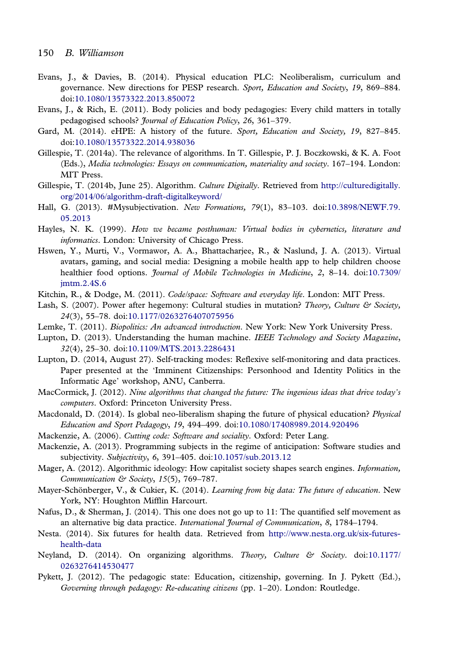- <span id="page-19-0"></span>Evans, J., & Davies, B. (2014). Physical education PLC: Neoliberalism, curriculum and governance. New directions for PESP research. Sport, Education and Society, 19, 869–884. doi:[10.1080/13573322.2013.850072](http://dx.doi.org/10.1080/13573322.2013.850072)
- Evans, J., & Rich, E. (2011). Body policies and body pedagogies: Every child matters in totally pedagogised schools? *Journal of Education Policy*, 26, 361-379.
- Gard, M. (2014). eHPE: A history of the future. Sport, Education and Society, 19, 827-845. doi:[10.1080/13573322.2014.938036](http://dx.doi.org/10.1080/13573322.2014.938036)
- Gillespie, T. (2014a). The relevance of algorithms. In T. Gillespie, P. J. Boczkowski, & K. A. Foot (Eds.), Media technologies: Essays on communication, materiality and society. 167–194. London: MIT Press.
- Gillespie, T. (2014b, June 25). Algorithm. Culture Digitally. Retrieved from [http://culturedigitally.](http://culturedigitally.org/2014/06/algorithm-draft-digitalkeyword/) [org/2014/06/algorithm-draft-digitalkeyword/](http://culturedigitally.org/2014/06/algorithm-draft-digitalkeyword/)
- Hall, G. (2013). #Mysubjectivation. New Formations, 79(1), 83–103. doi[:10.3898/NEWF.79.](http://dx.doi.org/10.3898/NEWF.79.05.2013) [05.2013](http://dx.doi.org/10.3898/NEWF.79.05.2013)
- Hayles, N. K. (1999). How we became posthuman: Virtual bodies in cybernetics, literature and informatics. London: University of Chicago Press.
- Hswen, Y., Murti, V., Vormawor, A. A., Bhattacharjee, R., & Naslund, J. A. (2013). Virtual avatars, gaming, and social media: Designing a mobile health app to help children choose healthier food options. Journal of Mobile Technologies in Medicine, 2, 8-14. doi[:10.7309/](http://dx.doi.org/10.7309/jmtm.2.4S.6) [jmtm.2.4S.6](http://dx.doi.org/10.7309/jmtm.2.4S.6)
- Kitchin, R., & Dodge, M. (2011). Code/space: Software and everyday life. London: MIT Press.
- Lash, S. (2007). Power after hegemony: Cultural studies in mutation? Theory, Culture & Society, 24(3), 55–78. doi:[10.1177/0263276407075956](http://dx.doi.org/10.1177/0263276407075956)
- Lemke, T. (2011). Biopolitics: An advanced introduction. New York: New York University Press.
- Lupton, D. (2013). Understanding the human machine. IEEE Technology and Society Magazine, 32(4), 25–30. doi:[10.1109/MTS.2013.2286431](http://dx.doi.org/10.1109/MTS.2013.2286431)
- Lupton, D. (2014, August 27). Self-tracking modes: Reflexive self-monitoring and data practices. Paper presented at the 'Imminent Citizenships: Personhood and Identity Politics in the Informatic Age' workshop, ANU, Canberra.
- MacCormick, J. (2012). Nine algorithms that changed the future: The ingenious ideas that drive today's computers. Oxford: Princeton University Press.
- Macdonald, D. (2014). Is global neo-liberalism shaping the future of physical education? *Physical* Education and Sport Pedagogy, 19, 494–499. doi:[10.1080/17408989.2014.920496](http://dx.doi.org/10.1080/17408989.2014.920496)
- Mackenzie, A. (2006). Cutting code: Software and sociality. Oxford: Peter Lang.
- Mackenzie, A. (2013). Programming subjects in the regime of anticipation: Software studies and subjectivity. Subjectivity, 6, 391–405. doi:[10.1057/sub.2013.12](http://dx.doi.org/10.1057/sub.2013.12)
- Mager, A. (2012). Algorithmic ideology: How capitalist society shapes search engines. *Information*, Communication & Society, 15(5), 769–787.
- Mayer-Schönberger, V., & Cukier, K. (2014). Learning from big data: The future of education. New York, NY: Houghton Mifflin Harcourt.
- Nafus, D., & Sherman, J. (2014). This one does not go up to 11: The quantified self movement as an alternative big data practice. International Journal of Communication, 8, 1784-1794.
- Nesta. (2014). Six futures for health data. Retrieved from [http://www.nesta.org.uk/six-futures](http://www.nesta.org.uk/six-futures-health-data)[health-data](http://www.nesta.org.uk/six-futures-health-data)
- Neyland, D. (2014). On organizing algorithms. Theory, Culture & Society. doi[:10.1177/](http://dx.doi.org/10.1177/0263276414530477) [0263276414530477](http://dx.doi.org/10.1177/0263276414530477)
- Pykett, J. (2012). The pedagogic state: Education, citizenship, governing. In J. Pykett (Ed.), Governing through pedagogy: Re-educating citizens (pp. 1–20). London: Routledge.